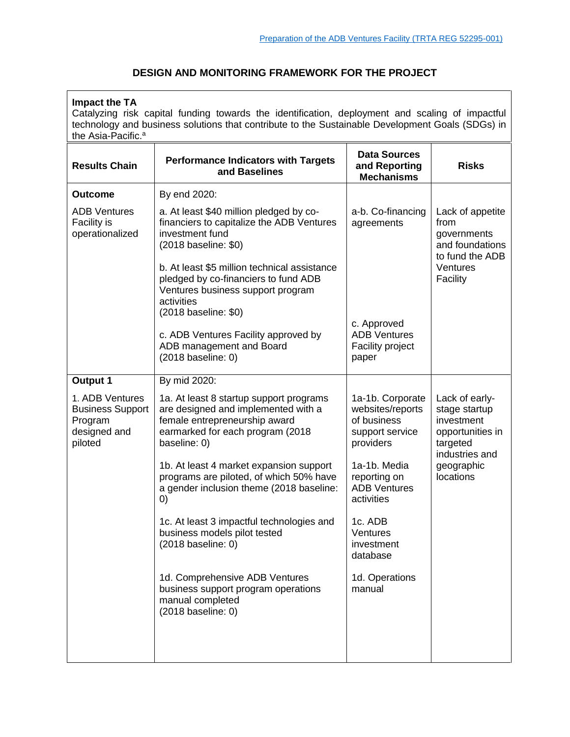# **DESIGN AND MONITORING FRAMEWORK FOR THE PROJECT**

| <b>Impact the TA</b><br>Catalyzing risk capital funding towards the identification, deployment and scaling of impactful<br>technology and business solutions that contribute to the Sustainable Development Goals (SDGs) in<br>the Asia-Pacific. <sup>a</sup> |                                                                                                                                                                     |                                                                                     |                                                                                                                            |  |  |
|---------------------------------------------------------------------------------------------------------------------------------------------------------------------------------------------------------------------------------------------------------------|---------------------------------------------------------------------------------------------------------------------------------------------------------------------|-------------------------------------------------------------------------------------|----------------------------------------------------------------------------------------------------------------------------|--|--|
| <b>Results Chain</b>                                                                                                                                                                                                                                          | <b>Performance Indicators with Targets</b><br>and Baselines                                                                                                         | <b>Data Sources</b><br>and Reporting<br><b>Mechanisms</b>                           | <b>Risks</b>                                                                                                               |  |  |
| <b>Outcome</b>                                                                                                                                                                                                                                                | By end 2020:                                                                                                                                                        |                                                                                     |                                                                                                                            |  |  |
| <b>ADB Ventures</b><br>Facility is<br>operationalized                                                                                                                                                                                                         | a. At least \$40 million pledged by co-<br>financiers to capitalize the ADB Ventures<br>investment fund<br>(2018 baseline: \$0)                                     | a-b. Co-financing<br>agreements                                                     | Lack of appetite<br>from<br>governments<br>and foundations<br>to fund the ADB<br>Ventures<br>Facility                      |  |  |
|                                                                                                                                                                                                                                                               | b. At least \$5 million technical assistance<br>pledged by co-financiers to fund ADB<br>Ventures business support program<br>activities<br>(2018 baseline: \$0)     |                                                                                     |                                                                                                                            |  |  |
|                                                                                                                                                                                                                                                               | c. ADB Ventures Facility approved by<br>ADB management and Board<br>(2018 baseline: 0)                                                                              | c. Approved<br><b>ADB Ventures</b><br>Facility project<br>paper                     |                                                                                                                            |  |  |
| <b>Output 1</b>                                                                                                                                                                                                                                               | By mid 2020:                                                                                                                                                        |                                                                                     |                                                                                                                            |  |  |
| 1. ADB Ventures<br><b>Business Support</b><br>Program<br>designed and<br>piloted                                                                                                                                                                              | 1a. At least 8 startup support programs<br>are designed and implemented with a<br>female entrepreneurship award<br>earmarked for each program (2018<br>baseline: 0) | 1a-1b. Corporate<br>websites/reports<br>of business<br>support service<br>providers | Lack of early-<br>stage startup<br>investment<br>opportunities in<br>targeted<br>industries and<br>geographic<br>locations |  |  |
|                                                                                                                                                                                                                                                               | 1b. At least 4 market expansion support<br>programs are piloted, of which 50% have<br>a gender inclusion theme (2018 baseline:<br>$\left( 0\right)$                 | 1a-1b. Media<br>reporting on<br><b>ADB Ventures</b><br>activities                   |                                                                                                                            |  |  |
|                                                                                                                                                                                                                                                               | 1c. At least 3 impactful technologies and<br>business models pilot tested<br>(2018 baseline: 0)                                                                     | 1c. ADB<br>Ventures<br>investment<br>database                                       |                                                                                                                            |  |  |
|                                                                                                                                                                                                                                                               | 1d. Comprehensive ADB Ventures<br>business support program operations<br>manual completed<br>(2018 baseline: 0)                                                     | 1d. Operations<br>manual                                                            |                                                                                                                            |  |  |
|                                                                                                                                                                                                                                                               |                                                                                                                                                                     |                                                                                     |                                                                                                                            |  |  |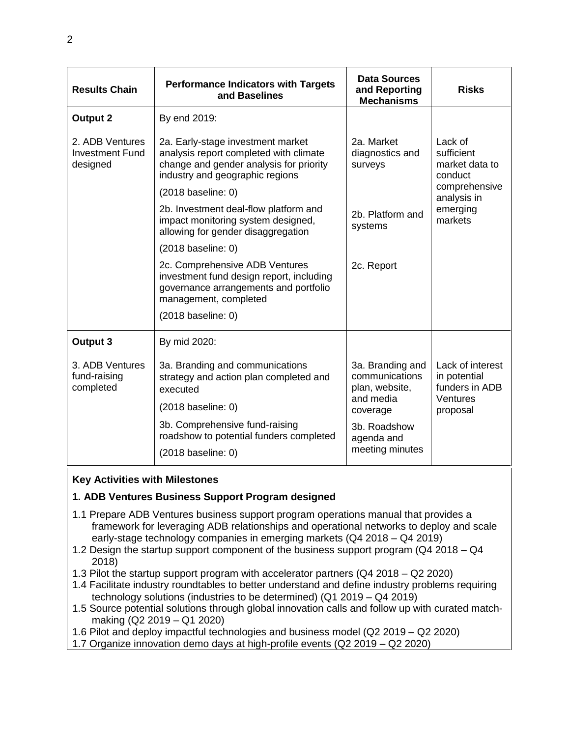| <b>Results Chain</b>                                  | <b>Performance Indicators with Targets</b><br>and Baselines                                                                                                        | <b>Data Sources</b><br>and Reporting<br><b>Mechanisms</b>         | <b>Risks</b>                                                                                              |
|-------------------------------------------------------|--------------------------------------------------------------------------------------------------------------------------------------------------------------------|-------------------------------------------------------------------|-----------------------------------------------------------------------------------------------------------|
| <b>Output 2</b>                                       | By end 2019:                                                                                                                                                       |                                                                   |                                                                                                           |
| 2. ADB Ventures<br><b>Investment Fund</b><br>designed | 2a. Early-stage investment market<br>analysis report completed with climate<br>change and gender analysis for priority<br>industry and geographic regions          | 2a. Market<br>diagnostics and<br>surveys                          | Lack of<br>sufficient<br>market data to<br>conduct<br>comprehensive<br>analysis in<br>emerging<br>markets |
|                                                       | $(2018)$ baseline: 0)                                                                                                                                              | 2b. Platform and<br>systems                                       |                                                                                                           |
|                                                       | 2b. Investment deal-flow platform and<br>impact monitoring system designed,<br>allowing for gender disaggregation                                                  |                                                                   |                                                                                                           |
|                                                       | (2018 baseline: 0)                                                                                                                                                 |                                                                   |                                                                                                           |
|                                                       | 2c. Comprehensive ADB Ventures<br>investment fund design report, including<br>governance arrangements and portfolio<br>management, completed<br>(2018 baseline: 0) | 2c. Report                                                        |                                                                                                           |
| Output 3                                              | By mid 2020:                                                                                                                                                       |                                                                   |                                                                                                           |
| 3. ADB Ventures<br>fund-raising<br>completed          | 3a. Branding and communications<br>strategy and action plan completed and<br>executed<br>$(2018)$ baseline: 0)                                                     | 3a. Branding and<br>communications<br>plan, website,<br>and media | Lack of interest<br>in potential<br>funders in ADB<br>Ventures                                            |
|                                                       |                                                                                                                                                                    | coverage                                                          | proposal                                                                                                  |
|                                                       | 3b. Comprehensive fund-raising<br>roadshow to potential funders completed                                                                                          | 3b. Roadshow<br>agenda and                                        |                                                                                                           |
|                                                       | $(2018)$ baseline: 0)                                                                                                                                              | meeting minutes                                                   |                                                                                                           |

## **Key Activities with Milestones**

### **1. ADB Ventures Business Support Program designed**

- 1.1 Prepare ADB Ventures business support program operations manual that provides a framework for leveraging ADB relationships and operational networks to deploy and scale early-stage technology companies in emerging markets (Q4 2018 – Q4 2019)
- 1.2 Design the startup support component of the business support program (Q4 2018 Q4 2018)
- 1.3 Pilot the startup support program with accelerator partners (Q4 2018 Q2 2020)
- 1.4 Facilitate industry roundtables to better understand and define industry problems requiring technology solutions (industries to be determined) (Q1 2019 – Q4 2019)
- 1.5 Source potential solutions through global innovation calls and follow up with curated matchmaking (Q2 2019 – Q1 2020)

1.6 Pilot and deploy impactful technologies and business model (Q2 2019 – Q2 2020)

1.7 Organize innovation demo days at high-profile events (Q2 2019 – Q2 2020)